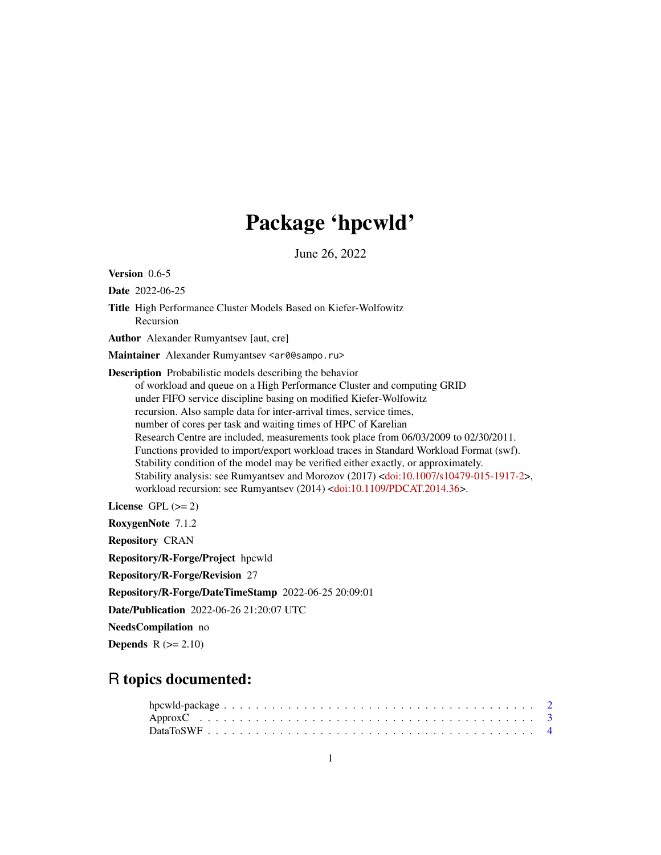## Package 'hpcwld'

June 26, 2022

Version 0.6-5

Date 2022-06-25

Title High Performance Cluster Models Based on Kiefer-Wolfowitz Recursion

Author Alexander Rumyantsev [aut, cre]

Maintainer Alexander Rumyantsev <ar0@sampo.ru>

Description Probabilistic models describing the behavior of workload and queue on a High Performance Cluster and computing GRID under FIFO service discipline basing on modified Kiefer-Wolfowitz recursion. Also sample data for inter-arrival times, service times, number of cores per task and waiting times of HPC of Karelian Research Centre are included, measurements took place from 06/03/2009 to 02/30/2011. Functions provided to import/export workload traces in Standard Workload Format (swf). Stability condition of the model may be verified either exactly, or approximately. Stability analysis: see Rumyantsev and Morozov (2017) [<doi:10.1007/s10479-015-1917-2>](https://doi.org/10.1007/s10479-015-1917-2), workload recursion: see Rumyantsev (2014) [<doi:10.1109/PDCAT.2014.36>](https://doi.org/10.1109/PDCAT.2014.36).

License GPL  $(>= 2)$ 

RoxygenNote 7.1.2

Repository CRAN

Repository/R-Forge/Project hpcwld

Repository/R-Forge/Revision 27

Repository/R-Forge/DateTimeStamp 2022-06-25 20:09:01

Date/Publication 2022-06-26 21:20:07 UTC

NeedsCompilation no

Depends  $R$  ( $>= 2.10$ )

## R topics documented: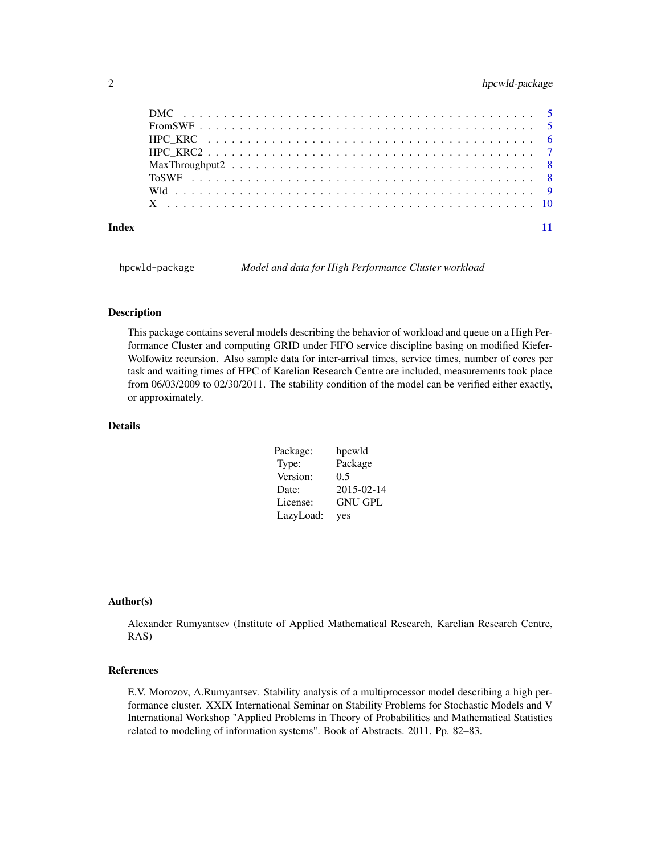#### <span id="page-1-0"></span>2 hpcwld-package hpcwld-package

hpcwld-package *Model and data for High Performance Cluster workload*

#### Description

This package contains several models describing the behavior of workload and queue on a High Performance Cluster and computing GRID under FIFO service discipline basing on modified Kiefer-Wolfowitz recursion. Also sample data for inter-arrival times, service times, number of cores per task and waiting times of HPC of Karelian Research Centre are included, measurements took place from 06/03/2009 to 02/30/2011. The stability condition of the model can be verified either exactly, or approximately.

#### Details

| Package:  | hpcwld         |
|-----------|----------------|
| Type:     | Package        |
| Version:  | 0.5            |
| Date:     | 2015-02-14     |
| License:  | <b>GNU GPL</b> |
| LazyLoad: | yes            |

#### Author(s)

Alexander Rumyantsev (Institute of Applied Mathematical Research, Karelian Research Centre, RAS)

#### References

E.V. Morozov, A.Rumyantsev. Stability analysis of a multiprocessor model describing a high performance cluster. XXIX International Seminar on Stability Problems for Stochastic Models and V International Workshop "Applied Problems in Theory of Probabilities and Mathematical Statistics related to modeling of information systems". Book of Abstracts. 2011. Pp. 82–83.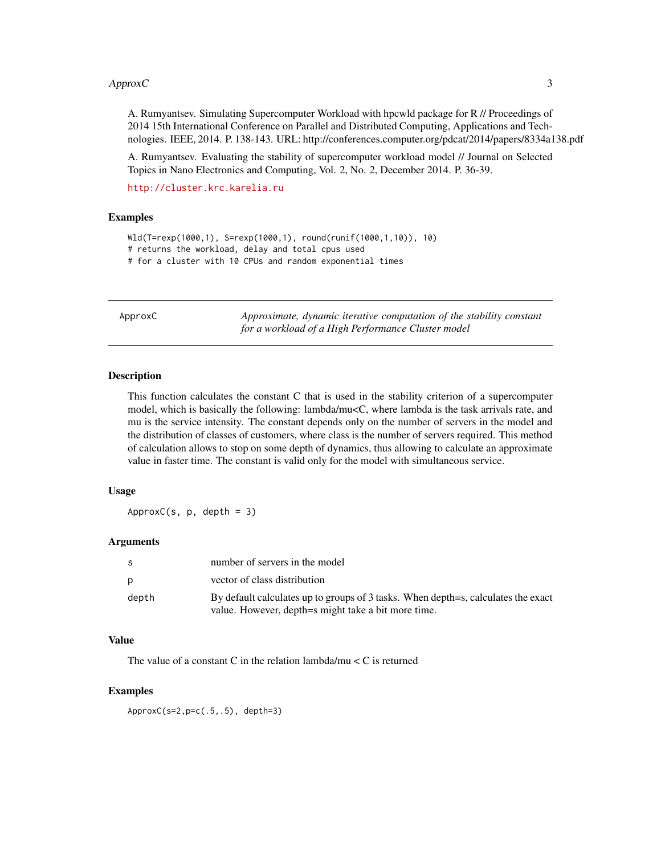#### <span id="page-2-0"></span> $A$ pprox $C$  3

A. Rumyantsev. Simulating Supercomputer Workload with hpcwld package for R // Proceedings of 2014 15th International Conference on Parallel and Distributed Computing, Applications and Technologies. IEEE, 2014. P. 138-143. URL: http://conferences.computer.org/pdcat/2014/papers/8334a138.pdf

A. Rumyantsev. Evaluating the stability of supercomputer workload model // Journal on Selected Topics in Nano Electronics and Computing, Vol. 2, No. 2, December 2014. P. 36-39.

```
http://cluster.krc.karelia.ru
```
#### Examples

```
Wld(T=rexp(1000,1), S=rexp(1000,1), round(runif(1000,1,10)), 10)
# returns the workload, delay and total cpus used
# for a cluster with 10 CPUs and random exponential times
```
ApproxC *Approximate, dynamic iterative computation of the stability constant for a workload of a High Performance Cluster model*

#### **Description**

This function calculates the constant C that is used in the stability criterion of a supercomputer model, which is basically the following: lambda/mu<C, where lambda is the task arrivals rate, and mu is the service intensity. The constant depends only on the number of servers in the model and the distribution of classes of customers, where class is the number of servers required. This method of calculation allows to stop on some depth of dynamics, thus allowing to calculate an approximate value in faster time. The constant is valid only for the model with simultaneous service.

#### Usage

 $ApproxC(s, p, depth = 3)$ 

#### Arguments

| -S    | number of servers in the model                                                                                                           |
|-------|------------------------------------------------------------------------------------------------------------------------------------------|
| p     | vector of class distribution                                                                                                             |
| depth | By default calculates up to groups of 3 tasks. When depth=s, calculates the exact<br>value. However, depth=s might take a bit more time. |
|       |                                                                                                                                          |

#### Value

The value of a constant C in the relation lambda/mu  $\lt C$  is returned

#### Examples

ApproxC(s=2,p=c(.5,.5), depth=3)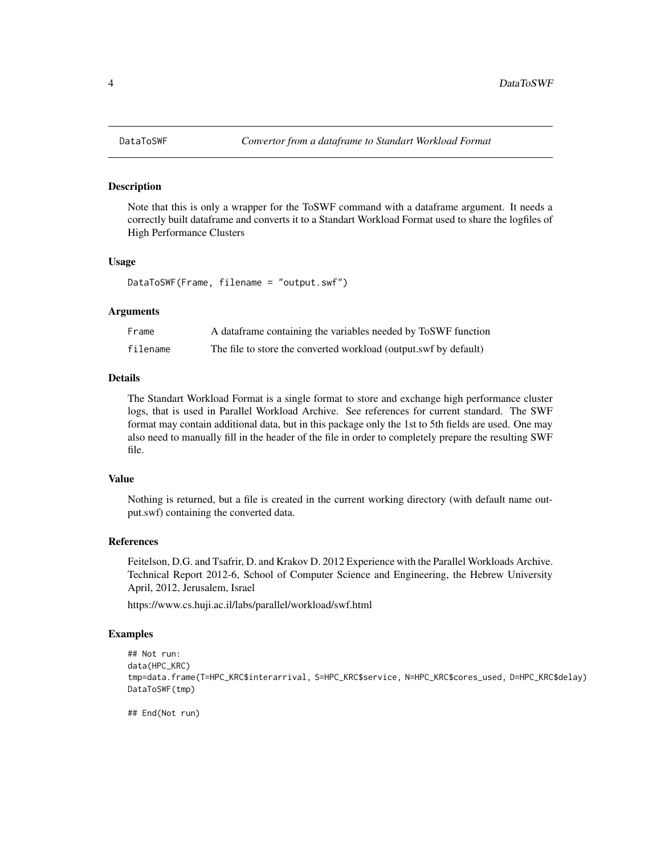#### Description

Note that this is only a wrapper for the ToSWF command with a dataframe argument. It needs a correctly built dataframe and converts it to a Standart Workload Format used to share the logfiles of High Performance Clusters

#### Usage

DataToSWF(Frame, filename = "output.swf")

#### Arguments

| Frame    | A data frame containing the variables needed by ToSWF function   |
|----------|------------------------------------------------------------------|
| filename | The file to store the converted workload (output.swf by default) |

#### Details

The Standart Workload Format is a single format to store and exchange high performance cluster logs, that is used in Parallel Workload Archive. See references for current standard. The SWF format may contain additional data, but in this package only the 1st to 5th fields are used. One may also need to manually fill in the header of the file in order to completely prepare the resulting SWF file.

#### Value

Nothing is returned, but a file is created in the current working directory (with default name output.swf) containing the converted data.

#### References

Feitelson, D.G. and Tsafrir, D. and Krakov D. 2012 Experience with the Parallel Workloads Archive. Technical Report 2012-6, School of Computer Science and Engineering, the Hebrew University April, 2012, Jerusalem, Israel

https://www.cs.huji.ac.il/labs/parallel/workload/swf.html

#### Examples

```
## Not run:
data(HPC_KRC)
tmp=data.frame(T=HPC_KRC$interarrival, S=HPC_KRC$service, N=HPC_KRC$cores_used, D=HPC_KRC$delay)
DataToSWF(tmp)
```
## End(Not run)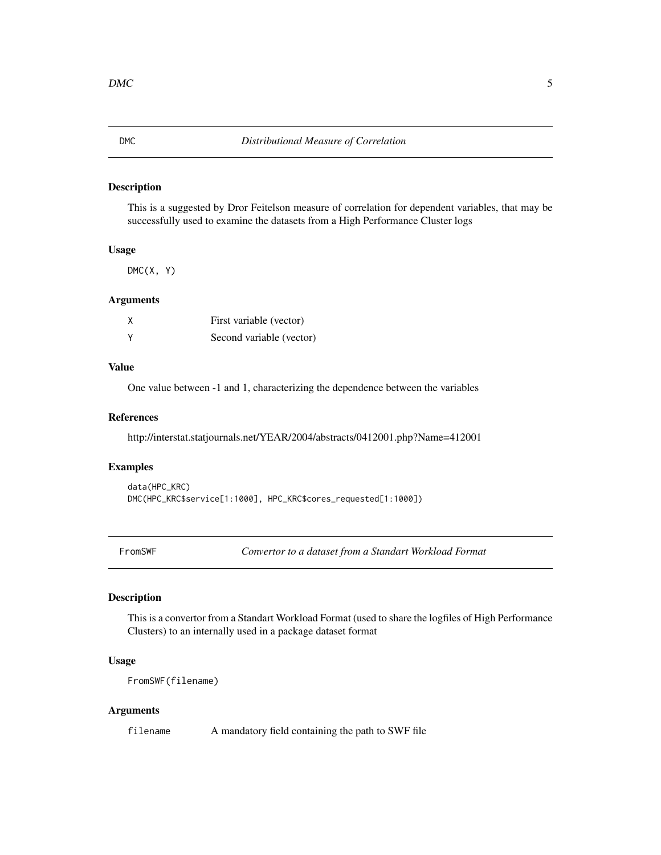#### <span id="page-4-0"></span>Description

This is a suggested by Dror Feitelson measure of correlation for dependent variables, that may be successfully used to examine the datasets from a High Performance Cluster logs

#### Usage

 $DMC(X, Y)$ 

#### Arguments

| χ | First variable (vector)  |
|---|--------------------------|
| ٧ | Second variable (vector) |

#### Value

One value between -1 and 1, characterizing the dependence between the variables

#### References

http://interstat.statjournals.net/YEAR/2004/abstracts/0412001.php?Name=412001

#### Examples

```
data(HPC_KRC)
DMC(HPC_KRC$service[1:1000], HPC_KRC$cores_requested[1:1000])
```
FromSWF *Convertor to a dataset from a Standart Workload Format*

#### Description

This is a convertor from a Standart Workload Format (used to share the logfiles of High Performance Clusters) to an internally used in a package dataset format

#### Usage

FromSWF(filename)

#### Arguments

filename A mandatory field containing the path to SWF file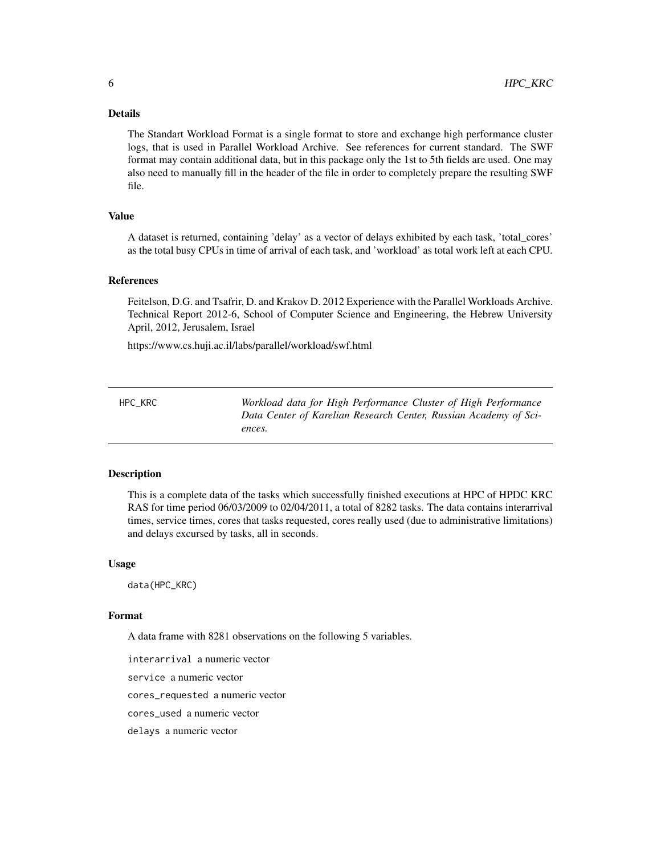#### <span id="page-5-0"></span>Details

The Standart Workload Format is a single format to store and exchange high performance cluster logs, that is used in Parallel Workload Archive. See references for current standard. The SWF format may contain additional data, but in this package only the 1st to 5th fields are used. One may also need to manually fill in the header of the file in order to completely prepare the resulting SWF file.

#### Value

A dataset is returned, containing 'delay' as a vector of delays exhibited by each task, 'total\_cores' as the total busy CPUs in time of arrival of each task, and 'workload' as total work left at each CPU.

#### References

Feitelson, D.G. and Tsafrir, D. and Krakov D. 2012 Experience with the Parallel Workloads Archive. Technical Report 2012-6, School of Computer Science and Engineering, the Hebrew University April, 2012, Jerusalem, Israel

https://www.cs.huji.ac.il/labs/parallel/workload/swf.html

HPC\_KRC *Workload data for High Performance Cluster of High Performance Data Center of Karelian Research Center, Russian Academy of Sciences.*

#### Description

This is a complete data of the tasks which successfully finished executions at HPC of HPDC KRC RAS for time period 06/03/2009 to 02/04/2011, a total of 8282 tasks. The data contains interarrival times, service times, cores that tasks requested, cores really used (due to administrative limitations) and delays excursed by tasks, all in seconds.

#### Usage

data(HPC\_KRC)

#### Format

A data frame with 8281 observations on the following 5 variables.

interarrival a numeric vector

service a numeric vector

cores\_requested a numeric vector

cores\_used a numeric vector

delays a numeric vector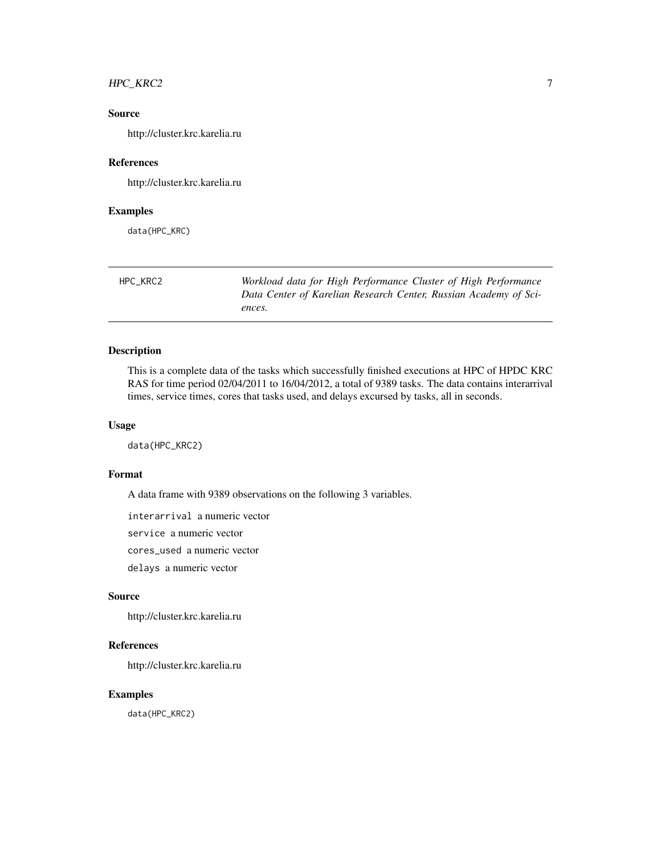#### <span id="page-6-0"></span>HPC\_KRC2 7

#### Source

http://cluster.krc.karelia.ru

#### References

http://cluster.krc.karelia.ru

#### Examples

data(HPC\_KRC)

| HPC KRC2 | Workload data for High Performance Cluster of High Performance   |
|----------|------------------------------------------------------------------|
|          | Data Center of Karelian Research Center, Russian Academy of Sci- |
|          | ences.                                                           |

#### Description

This is a complete data of the tasks which successfully finished executions at HPC of HPDC KRC RAS for time period 02/04/2011 to 16/04/2012, a total of 9389 tasks. The data contains interarrival times, service times, cores that tasks used, and delays excursed by tasks, all in seconds.

#### Usage

data(HPC\_KRC2)

### Format

A data frame with 9389 observations on the following 3 variables.

interarrival a numeric vector

service a numeric vector

cores\_used a numeric vector

delays a numeric vector

#### Source

http://cluster.krc.karelia.ru

#### References

http://cluster.krc.karelia.ru

#### Examples

data(HPC\_KRC2)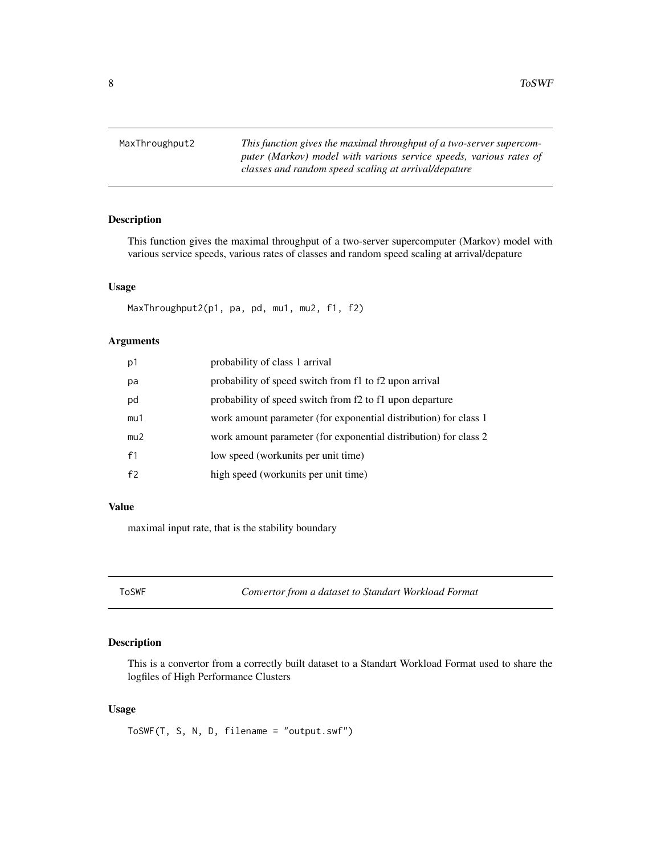<span id="page-7-0"></span>8 Second to the contract of the contract of the contract of the contract of the contract of the contract of the contract of the contract of the contract of the contract of the contract of the contract of the contract of th

MaxThroughput2 *This function gives the maximal throughput of a two-server supercomputer (Markov) model with various service speeds, various rates of classes and random speed scaling at arrival/depature*

#### Description

This function gives the maximal throughput of a two-server supercomputer (Markov) model with various service speeds, various rates of classes and random speed scaling at arrival/depature

#### Usage

MaxThroughput2(p1, pa, pd, mu1, mu2, f1, f2)

#### Arguments

| p1  | probability of class 1 arrival                                   |
|-----|------------------------------------------------------------------|
| pa  | probability of speed switch from f1 to f2 upon arrival           |
| pd  | probability of speed switch from f2 to f1 upon departure         |
| mu1 | work amount parameter (for exponential distribution) for class 1 |
| mu2 | work amount parameter (for exponential distribution) for class 2 |
| f1  | low speed (workunits per unit time)                              |
| f2  | high speed (workunits per unit time)                             |

#### Value

maximal input rate, that is the stability boundary

ToSWF *Convertor from a dataset to Standart Workload Format*

#### Description

This is a convertor from a correctly built dataset to a Standart Workload Format used to share the logfiles of High Performance Clusters

#### Usage

ToSWF(T, S, N, D, filename = "output.swf")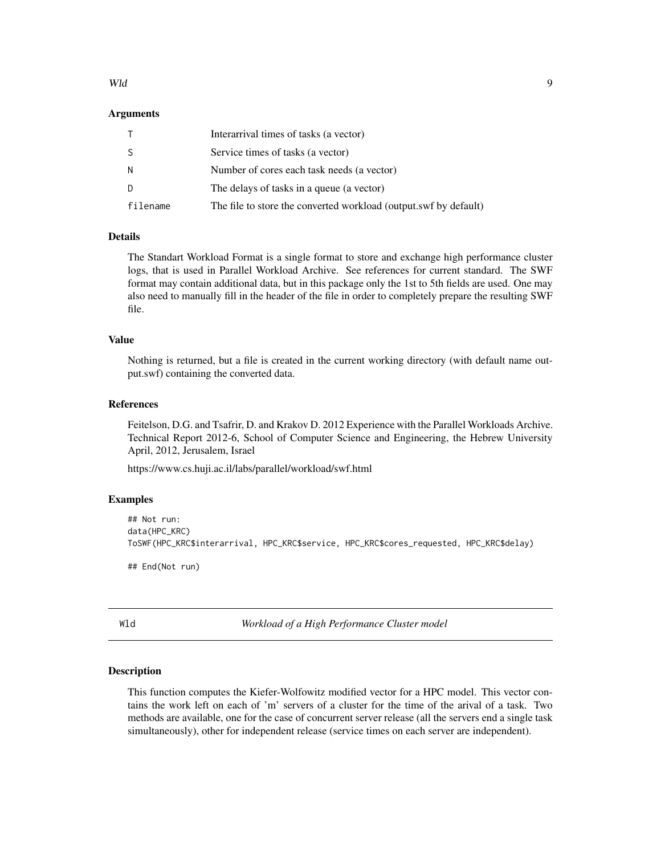#### <span id="page-8-0"></span>Wld the contract of the contract of the contract of the contract of the contract of the contract of the contract of the contract of the contract of the contract of the contract of the contract of the contract of the contra

#### Arguments

|          | Interarrival times of tasks (a vector)                           |
|----------|------------------------------------------------------------------|
| S        | Service times of tasks (a vector)                                |
| N        | Number of cores each task needs (a vector)                       |
| D        | The delays of tasks in a queue (a vector)                        |
| filename | The file to store the converted workload (output.swf by default) |

### Details

The Standart Workload Format is a single format to store and exchange high performance cluster logs, that is used in Parallel Workload Archive. See references for current standard. The SWF format may contain additional data, but in this package only the 1st to 5th fields are used. One may also need to manually fill in the header of the file in order to completely prepare the resulting SWF file.

#### Value

Nothing is returned, but a file is created in the current working directory (with default name output.swf) containing the converted data.

#### References

Feitelson, D.G. and Tsafrir, D. and Krakov D. 2012 Experience with the Parallel Workloads Archive. Technical Report 2012-6, School of Computer Science and Engineering, the Hebrew University April, 2012, Jerusalem, Israel

https://www.cs.huji.ac.il/labs/parallel/workload/swf.html

#### Examples

```
## Not run:
data(HPC_KRC)
ToSWF(HPC_KRC$interarrival, HPC_KRC$service, HPC_KRC$cores_requested, HPC_KRC$delay)
```
## End(Not run)

Wld *Workload of a High Performance Cluster model*

#### Description

This function computes the Kiefer-Wolfowitz modified vector for a HPC model. This vector contains the work left on each of 'm' servers of a cluster for the time of the arival of a task. Two methods are available, one for the case of concurrent server release (all the servers end a single task simultaneously), other for independent release (service times on each server are independent).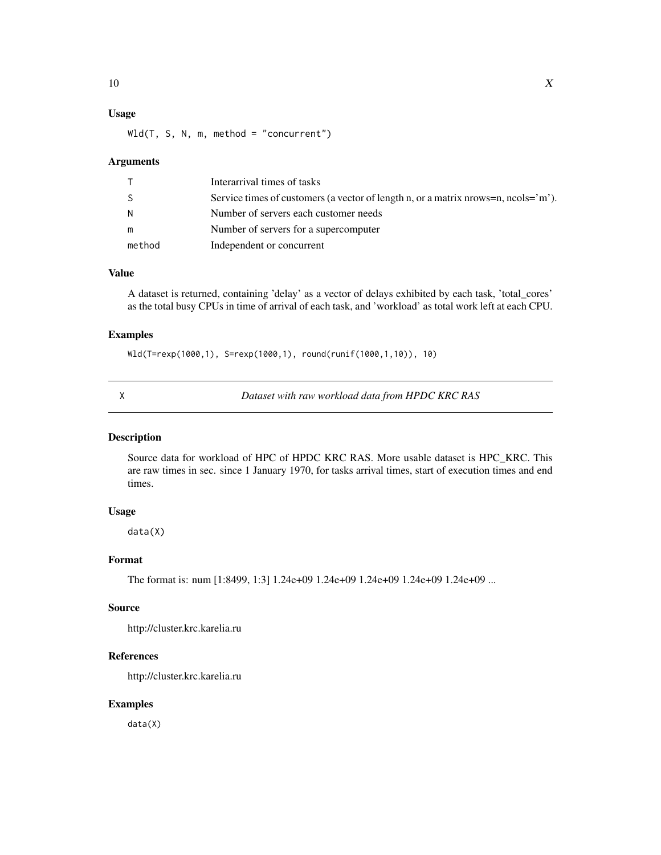### <span id="page-9-0"></span>Usage

 $Wld(T, S, N, m, method = "concurrent")$ 

#### Arguments

|        | Interarrival times of tasks                                                                     |
|--------|-------------------------------------------------------------------------------------------------|
| -S     | Service times of customers (a vector of length n, or a matrix nrows=n, ncols= $\rm\degree m$ ). |
| N.     | Number of servers each customer needs                                                           |
| m      | Number of servers for a supercomputer                                                           |
| method | Independent or concurrent                                                                       |

#### Value

A dataset is returned, containing 'delay' as a vector of delays exhibited by each task, 'total\_cores' as the total busy CPUs in time of arrival of each task, and 'workload' as total work left at each CPU.

#### Examples

Wld(T=rexp(1000,1), S=rexp(1000,1), round(runif(1000,1,10)), 10)

X *Dataset with raw workload data from HPDC KRC RAS*

#### Description

Source data for workload of HPC of HPDC KRC RAS. More usable dataset is HPC\_KRC. This are raw times in sec. since 1 January 1970, for tasks arrival times, start of execution times and end times.

### Usage

data(X)

#### Format

The format is: num [1:8499, 1:3] 1.24e+09 1.24e+09 1.24e+09 1.24e+09 1.24e+09 ...

#### Source

http://cluster.krc.karelia.ru

#### References

http://cluster.krc.karelia.ru

#### Examples

data(X)